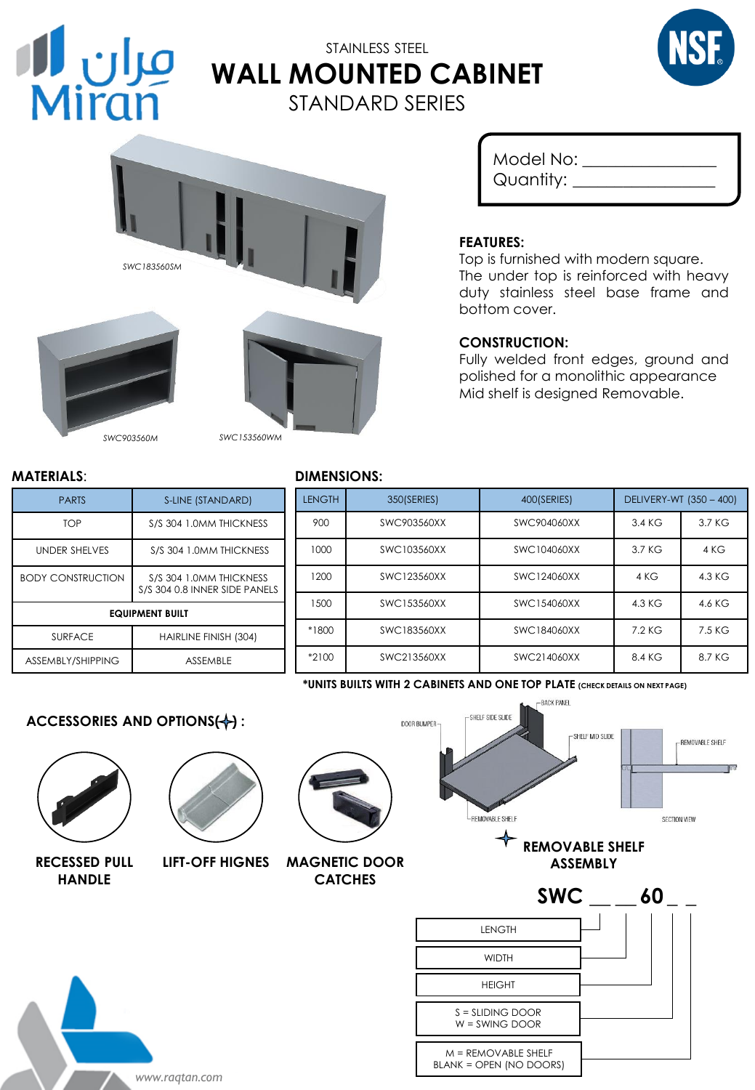

# STAINLESS STEEL **WALL MOUNTED CABINET** STANDARD SERIES





*SWC903560M SWC153560WM*

| Model No:      |  |
|----------------|--|
| Quantity: $\_$ |  |
|                |  |

## **FEATURES:**

Top is furnished with modern square. The under top is reinforced with heavy duty stainless steel base frame and bottom cover.

### **CONSTRUCTION:**

Fully welded front edges, ground and polished for a monolithic appearance Mid shelf is designed Removable.

| <b>PARTS</b>             | S-LINE (STANDARD)                                        |
|--------------------------|----------------------------------------------------------|
| TOP                      | S/S 304 1.0MM THICKNESS                                  |
| <b>UNDER SHELVES</b>     | S/S 304 1.0MM THICKNESS                                  |
| <b>BODY CONSTRUCTION</b> | S/S 304 1.0MM THICKNESS<br>S/S 304 0.8 INNER SIDE PANELS |
| <b>EQUIPMENT BUILT</b>   |                                                          |
| <b>SURFACE</b>           | HAIRLINE FINISH (304)                                    |
| ASSEMBLY/SHIPPING        | <b>ASSEMBLE</b>                                          |

## **MATERIALS**: **DIMENSIONS:**

# LENGTH 350(SERIES) 400(SERIES) DELIVERY-WT (350 – 400) 900 SWC903560XX | SWC904060XX | 3.4 KG | 3.7 KG 1000 SWC103560XX SWC104060XX 3.7 KG 4 KG 1200 SWC123560XX SWC124060XX 4 KG 4.3 KG 1500 SWC153560XX SWC154060XX 4.3 KG 4.6 KG \*1800 SWC183560XX SWC184060XX 7.2 KG 7.5 KG \*2100 SWC213560XX SWC214060XX 8.4 KG 8.7 KG

**\*UNITS BUILTS WITH 2 CABINETS AND ONE TOP PLATE (CHECK DETAILS ON NEXT PAGE)**